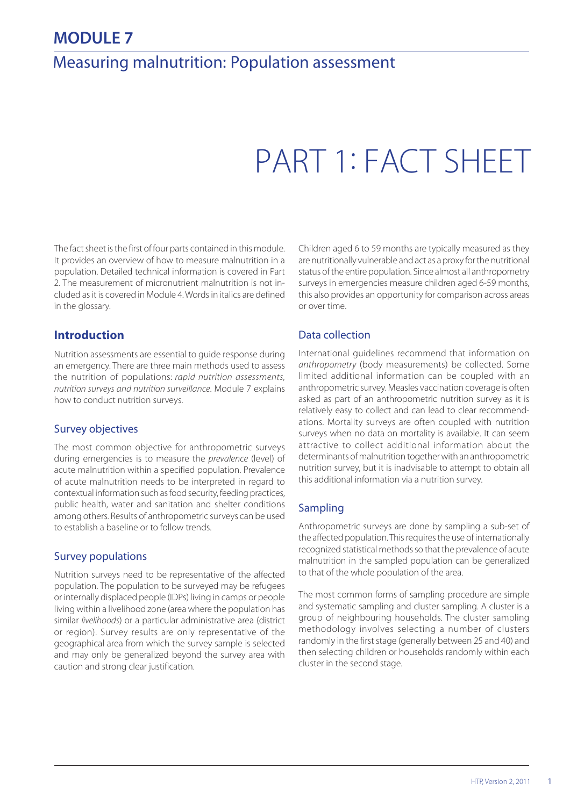# **MODULE 7**

# Measuring malnutrition: Population assessment

# PART 1: FACT SHEET

The fact sheet is the first of four parts contained in this module. It provides an overview of how to measure malnutrition in a population. Detailed technical information is covered in Part 2. The measurement of micronutrient malnutrition is not included as it is covered in Module 4. Words in italics are defined in the glossary.

# **Introduction**

Nutrition assessments are essential to guide response during an emergency. There are three main methods used to assess the nutrition of populations: rapid nutrition assessments, nutrition surveys and nutrition surveillance. Module 7 explains how to conduct nutrition surveys.

#### Survey objectives

The most common objective for anthropometric surveys during emergencies is to measure the prevalence (level) of acute malnutrition within a specified population. Prevalence of acute malnutrition needs to be interpreted in regard to contextual information such as food security, feeding practices, public health, water and sanitation and shelter conditions among others. Results of anthropometric surveys can be used to establish a baseline or to follow trends.

## Survey populations

Nutrition surveys need to be representative of the affected population. The population to be surveyed may be refugees or internally displaced people (IDPs) living in camps or people living within a livelihood zone (area where the population has similar livelihoods) or a particular administrative area (district or region). Survey results are only representative of the geographical area from which the survey sample is selected and may only be generalized beyond the survey area with caution and strong clear justification.

Children aged 6 to 59 months are typically measured as they are nutritionally vulnerable and act as a proxy for the nutritional status of the entire population. Since almost all anthropometry surveys in emergencies measure children aged 6-59 months, this also provides an opportunity for comparison across areas or over time.

# Data collection

International guidelines recommend that information on anthropometry (body measurements) be collected. Some limited additional information can be coupled with an anthropometric survey. Measles vaccination coverage is often asked as part of an anthropometric nutrition survey as it is relatively easy to collect and can lead to clear recommendations. Mortality surveys are often coupled with nutrition surveys when no data on mortality is available. It can seem attractive to collect additional information about the determinants of malnutrition together with an anthropometric nutrition survey, but it is inadvisable to attempt to obtain all this additional information via a nutrition survey.

## Sampling

Anthropometric surveys are done by sampling a sub-set of the affected population. This requires the use of internationally recognized statistical methods so that the prevalence of acute malnutrition in the sampled population can be generalized to that of the whole population of the area.

The most common forms of sampling procedure are simple and systematic sampling and cluster sampling. A cluster is a group of neighbouring households. The cluster sampling methodology involves selecting a number of clusters randomly in the first stage (generally between 25 and 40) and then selecting children or households randomly within each cluster in the second stage.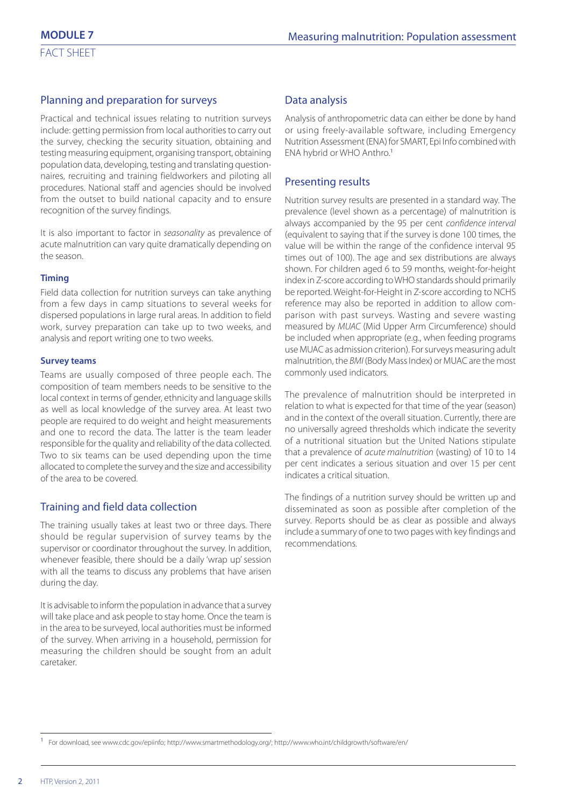#### Planning and preparation for surveys

Practical and technical issues relating to nutrition surveys include: getting permission from local authorities to carry out the survey, checking the security situation, obtaining and testing measuring equipment, organising transport, obtaining population data, developing, testing and translating questionnaires, recruiting and training fieldworkers and piloting all procedures. National staff and agencies should be involved from the outset to build national capacity and to ensure recognition of the survey findings.

It is also important to factor in seasonality as prevalence of acute malnutrition can vary quite dramatically depending on the season.

#### **Timing**

Field data collection for nutrition surveys can take anything from a few days in camp situations to several weeks for dispersed populations in large rural areas. In addition to field work, survey preparation can take up to two weeks, and analysis and report writing one to two weeks.

#### **Survey teams**

Teams are usually composed of three people each. The composition of team members needs to be sensitive to the local context in terms of gender, ethnicity and language skills as well as local knowledge of the survey area. At least two people are required to do weight and height measurements and one to record the data. The latter is the team leader responsible for the quality and reliability of the data collected. Two to six teams can be used depending upon the time allocated to complete the survey and the size and accessibility of the area to be covered.

## Training and field data collection

The training usually takes at least two or three days. There should be regular supervision of survey teams by the supervisor or coordinator throughout the survey. In addition, whenever feasible, there should be a daily 'wrap up' session with all the teams to discuss any problems that have arisen during the day.

It is advisable to inform the population in advance that a survey will take place and ask people to stay home. Once the team is in the area to be surveyed, local authorities must be informed of the survey. When arriving in a household, permission for measuring the children should be sought from an adult caretaker.

#### Data analysis

Analysis of anthropometric data can either be done by hand or using freely-available software, including Emergency Nutrition Assessment (ENA) for SMART, Epi Info combined with ENA hybrid or WHO Anthro.<sup>1</sup>

#### Presenting results

Nutrition survey results are presented in a standard way. The prevalence (level shown as a percentage) of malnutrition is always accompanied by the 95 per cent confidence interval (equivalent to saying that if the survey is done 100 times, the value will be within the range of the confidence interval 95 times out of 100). The age and sex distributions are always shown. For children aged 6 to 59 months, weight-for-height index in Z-score according to WHO standards should primarily be reported. Weight-for-Height in Z-score according to NCHS reference may also be reported in addition to allow comparison with past surveys. Wasting and severe wasting measured by MUAC (Mid Upper Arm Circumference) should be included when appropriate (e.g., when feeding programs use MUAC as admission criterion). For surveys measuring adult malnutrition, the BMI (Body Mass Index) or MUAC are the most commonly used indicators.

The prevalence of malnutrition should be interpreted in relation to what is expected for that time of the year (season) and in the context of the overall situation. Currently, there are no universally agreed thresholds which indicate the severity of a nutritional situation but the United Nations stipulate that a prevalence of acute malnutrition (wasting) of 10 to 14 per cent indicates a serious situation and over 15 per cent indicates a critical situation.

The findings of a nutrition survey should be written up and disseminated as soon as possible after completion of the survey. Reports should be as clear as possible and always include a summary of one to two pages with key findings and recommendations.

<sup>1</sup> For download, see www.cdc.gov/epiinfo; http://www.smartmethodology.org/; http://www.who.int/childgrowth/software/en/